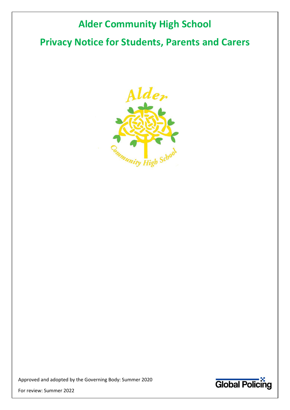# Alder Community High School

# Privacy Notice for Students, Parents and Carers



Approved and adopted by the Governing Body: Summer 2020



For review: Summer 2022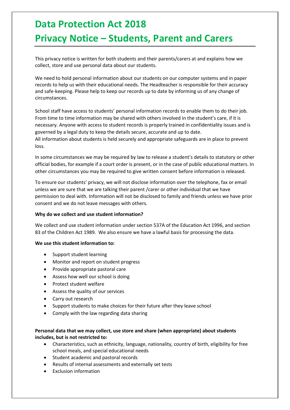# Data Protection Act 2018 Privacy Notice – Students, Parent and Carers

This privacy notice is written for both students and their parents/carers at and explains how we collect, store and use personal data about our students.

We need to hold personal information about our students on our computer systems and in paper records to help us with their educational needs. The Headteacher is responsible for their accuracy and safe-keeping. Please help to keep our records up to date by informing us of any change of circumstances.

School staff have access to students' personal information records to enable them to do their job. From time to time information may be shared with others involved in the student's care, if it is necessary. Anyone with access to student records is properly trained in confidentiality issues and is governed by a legal duty to keep the details secure, accurate and up to date. All information about students is held securely and appropriate safeguards are in place to prevent loss.

In some circumstances we may be required by law to release a student's details to statutory or other official bodies, for example if a court order is present, or in the case of public educational matters. In other circumstances you may be required to give written consent before information is released.

To ensure our students' privacy, we will not disclose information over the telephone, fax or email unless we are sure that we are talking their parent /carer or other individual that we have permission to deal with. Information will not be disclosed to family and friends unless we have prior consent and we do not leave messages with others.

#### Why do we collect and use student information?

We collect and use student information under section 537A of the Education Act 1996, and section 83 of the Children Act 1989. We also ensure we have a lawful basis for processing the data.

#### We use this student information to:

- Support student learning
- Monitor and report on student progress
- Provide appropriate pastoral care
- Assess how well our school is doing
- Protect student welfare
- Assess the quality of our services
- Carry out research
- Support students to make choices for their future after they leave school
- Comply with the law regarding data sharing

## Personal data that we may collect, use store and share (when appropriate) about students includes, but is not restricted to:

- Characteristics, such as ethnicity, language, nationality, country of birth, eligibility for free school meals, and special educational needs
- **•** Student academic and pastoral records
- Results of internal assessments and externally set tests
- Exclusion information